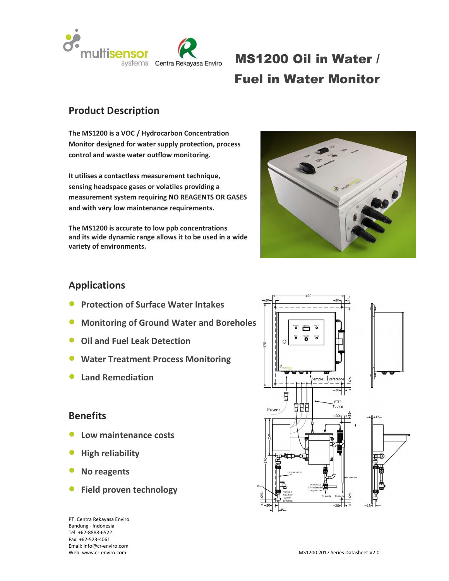

# MS1200 Oil in Water / Fuel in Water Monitor

## Product Description

The MS1200 is a VOC / Hydrocarbon Concentration Monitor designed for water supply protection, process control and waste water outflow monitoring.

It utilises a contactless measurement technique, sensing headspace gases or volatiles providing a measurement system requiring NO REAGENTS OR GASES and with very low maintenance requirements.

The MS1200 is accurate to low ppb concentrations and its wide dynamic range allows it to be used in a wide variety of environments.



### Applications

- Protection of Surface Water Intakes
- Monitoring of Ground Water and Boreholes  $\|\cdot\|$
- Oil and Fuel Leak Detection
- Water Treatment Process Monitoring
- Land Remediation

### **Benefits**

- Low maintenance costs
- High reliability
- No reagents
- Field proven technology

PT. Centra Rekayasa Enviro Bandung - Indonesia Tel: +62-8888-6522 Fax: +62-523-4061 Email: info@cr-enviro.com

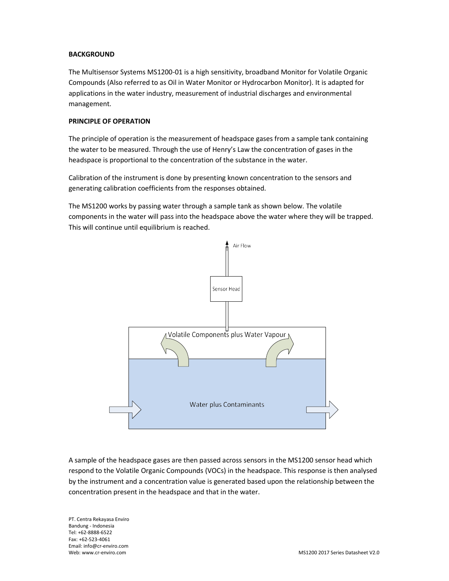#### **BACKGROUND**

The Multisensor Systems MS1200-01 is a high sensitivity, broadband Monitor for Volatile Organic Compounds (Also referred to as Oil in Water Monitor or Hydrocarbon Monitor). It is adapted for applications in the water industry, measurement of industrial discharges and environmental management.

### PRINCIPLE OF OPERATION

The principle of operation is the measurement of headspace gases from a sample tank containing the water to be measured. Through the use of Henry's Law the concentration of gases in the headspace is proportional to the concentration of the substance in the water.

Calibration of the instrument is done by presenting known concentration to the sensors and generating calibration coefficients from the responses obtained.

The MS1200 works by passing water through a sample tank as shown below. The volatile components in the water will pass into the headspace above the water where they will be trapped. This will continue until equilibrium is reached.



A sample of the headspace gases are then passed across sensors in the MS1200 sensor head which respond to the Volatile Organic Compounds (VOCs) in the headspace. This response is then analysed by the instrument and a concentration value is generated based upon the relationship between the concentration present in the headspace and that in the water.

PT. Centra Rekayasa Enviro Bandung - Indonesia Tel: +62-8888-6522 Fax: +62-523-4061 Email: info@cr-enviro.com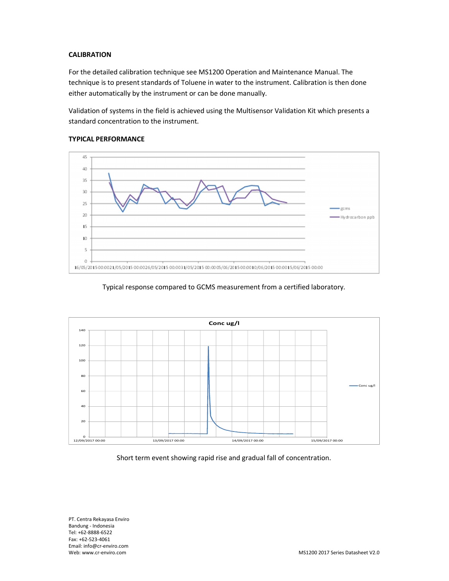#### **CALIBRATION**

For the detailed calibration technique see MS1200 Operation and Maintenance Manual. The technique is to present standards of Toluene in water to the instrument. Calibration is then done either automatically by the instrument or can be done manually.

Validation of systems in the field is achieved using the Multisensor Validation Kit which presents a standard concentration to the instrument.



#### TYPICAL PERFORMANCE

#### Typical response compared to GCMS measurement from a certified laboratory.



PT. Centra Rekayasa Enviro Bandung - Indonesia Tel: +62-8888-6522 Fax: +62-523-4061 Email: info@cr-enviro.com